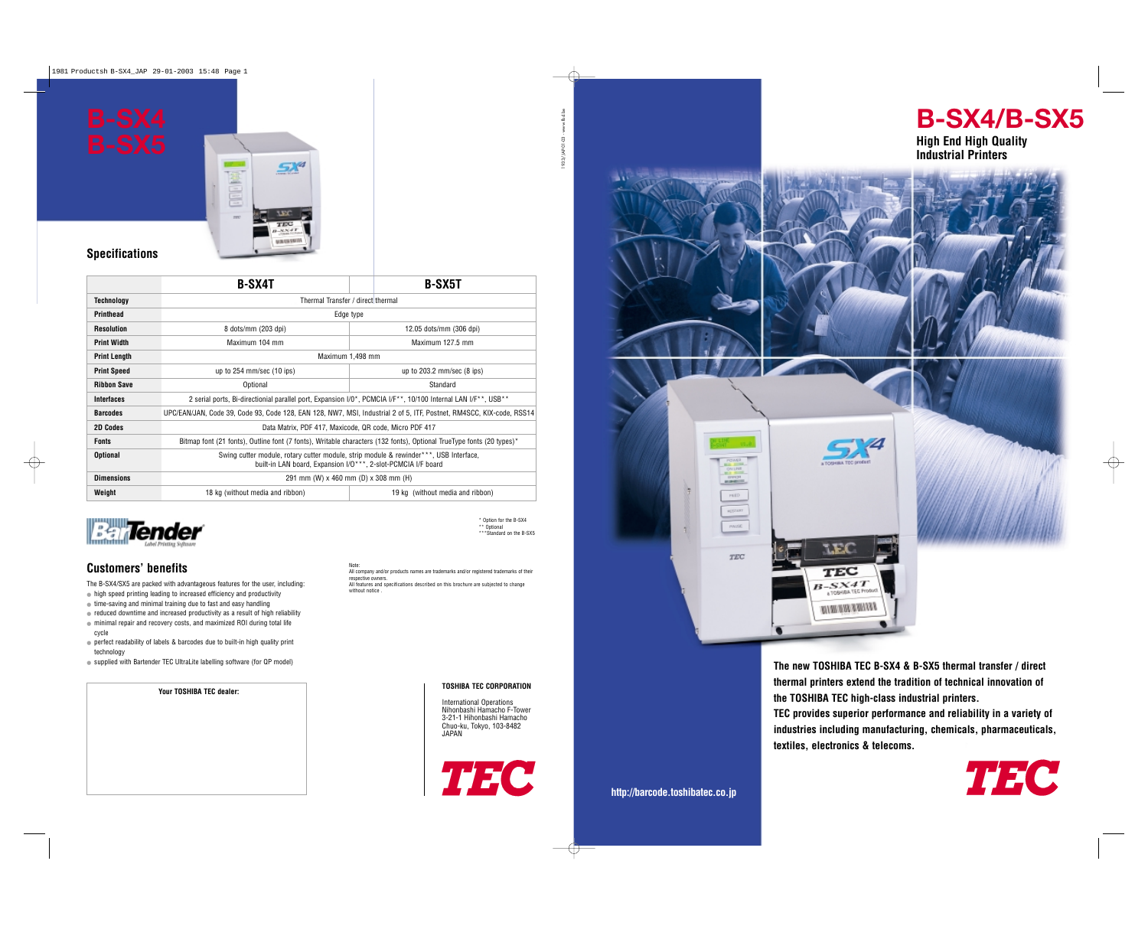

**thermal printers extend the tradition of technical innovation of the TOSHIBA TEC high-class industrial printers.** 

**TEC provides superior performance and reliability in a variety of industries including manufacturing, chemicals, pharmaceuticals, textiles, electronics & telecoms.**



\* Option for the B-SX4 \*\* Ontional \*\*\*Standard on the B-SX5



**High End High Quality Industrial Printers**

- high speed printing leading to increased efficiency and productivity
- time-saving and minimal training due to fast and easy handling
- reduced downtime and increased productivity as a result of high reliability ● minimal repair and recovery costs, and maximized ROI during total life cycle
- perfect readability of labels & barcodes due to built-in high quality print technology
- supplied with Bartender TEC UltraLite labelling software (for QP model)

#### **TOSHIBA TEC CORPORATION**

International Operations Nihonbashi Hamacho F-Tower 3-21-1 Hihonbashi Hamacho Chuo-ku, Tokyo, 103-8482 JAPAN



**Your TOSHIBA TEC dealer:**

### **Customers' benefits**

The B-SX4/SX5 are packed with advantageous features for the user, including:

Note: All company and/or products names are trademarks and/or registered trademarks of their respective owners. All features and specifications described on this brochure are subjected to change without notice



### **Specifications**

|                     | <b>B-SX4T</b>                                                                                                                                          | <b>B-SX5T</b>                    |
|---------------------|--------------------------------------------------------------------------------------------------------------------------------------------------------|----------------------------------|
| Technology          | Thermal Transfer / direct thermal                                                                                                                      |                                  |
| <b>Printhead</b>    | Edge type                                                                                                                                              |                                  |
| Resolution          | 8 dots/mm (203 dpi)                                                                                                                                    | 12.05 dots/mm (306 dpi)          |
| <b>Print Width</b>  | Maximum 104 mm                                                                                                                                         | Maximum 127.5 mm                 |
| <b>Print Length</b> | Maximum 1,498 mm                                                                                                                                       |                                  |
| <b>Print Speed</b>  | up to $254$ mm/sec $(10$ ips)                                                                                                                          | up to $203.2$ mm/sec $(8$ ips)   |
| <b>Ribbon Save</b>  | Optional                                                                                                                                               | Standard                         |
| Interfaces          | 2 serial ports, Bi-directionial parallel port, Expansion I/O*, PCMCIA I/F**, 10/100 Internal LAN I/F**, USB**                                          |                                  |
| <b>Barcodes</b>     | UPC/EAN/JAN, Code 39, Code 93, Code 128, EAN 128, NW7, MSI, Industrial 2 of 5, ITF, Postnet, RM4SCC, KIX-code, RSS14                                   |                                  |
| <b>2D Codes</b>     | Data Matrix, PDF 417, Maxicode, QR code, Micro PDF 417                                                                                                 |                                  |
| <b>Fonts</b>        | Bitmap font (21 fonts), Outline font (7 fonts), Writable characters (132 fonts), Optional TrueType fonts (20 types)*                                   |                                  |
| <b>Optional</b>     | Swing cutter module, rotary cutter module, strip module & rewinder***, USB Interface,<br>built-in LAN board, Expansion I/O***, 2-slot-PCMCIA I/F board |                                  |
| <b>Dimensions</b>   | 291 mm (W) x 460 mm (D) x 308 mm (H)                                                                                                                   |                                  |
| Weight              | 18 kg (without media and ribbon)                                                                                                                       | 19 kg (without media and ribbon) |